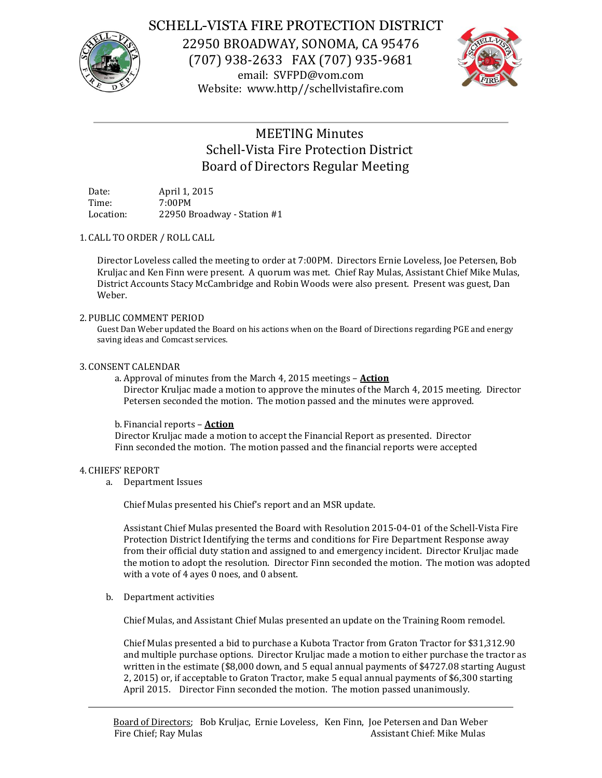

# SCHELL-VISTA FIRE PROTECTION DISTRICT

22950 BROADWAY, SONOMA, CA 95476 (707) 938-2633 FAX (707) 935-9681 email: SVFPD@vom.com Website: www.http//schellvistafire.com



# MEETING Minutes Schell-Vista Fire Protection District Board of Directors Regular Meeting

Date: April 1, 2015 Time: 7:00PM Location: 22950 Broadway - Station #1

## 1. CALL TO ORDER / ROLL CALL

Director Loveless called the meeting to order at 7:00PM. Directors Ernie Loveless, Joe Petersen, Bob Kruljac and Ken Finn were present. A quorum was met. Chief Ray Mulas, Assistant Chief Mike Mulas, District Accounts Stacy McCambridge and Robin Woods were also present. Present was guest, Dan Weber.

## 2. PUBLIC COMMENT PERIOD

Guest Dan Weber updated the Board on his actions when on the Board of Directions regarding PGE and energy saving ideas and Comcast services.

## 3. CONSENT CALENDAR

a. Approval of minutes from the March 4, 2015 meetings – **Action** Director Kruljac made a motion to approve the minutes of the March 4, 2015 meeting. Director Petersen seconded the motion. The motion passed and the minutes were approved.

## b. Financial reports – **Action**

Director Kruljac made a motion to accept the Financial Report as presented. Director Finn seconded the motion. The motion passed and the financial reports were accepted

#### 4. CHIEFS' REPORT

a. Department Issues

Chief Mulas presented his Chief's report and an MSR update.

Assistant Chief Mulas presented the Board with Resolution 2015-04-01 of the Schell-Vista Fire Protection District Identifying the terms and conditions for Fire Department Response away from their official duty station and assigned to and emergency incident. Director Kruljac made the motion to adopt the resolution. Director Finn seconded the motion. The motion was adopted with a vote of 4 ayes 0 noes, and 0 absent.

b. Department activities

Chief Mulas, and Assistant Chief Mulas presented an update on the Training Room remodel.

Chief Mulas presented a bid to purchase a Kubota Tractor from Graton Tractor for \$31,312.90 and multiple purchase options. Director Kruljac made a motion to either purchase the tractor as written in the estimate (\$8,000 down, and 5 equal annual payments of \$4727.08 starting August 2, 2015) or, if acceptable to Graton Tractor, make 5 equal annual payments of \$6,300 starting April 2015. Director Finn seconded the motion. The motion passed unanimously.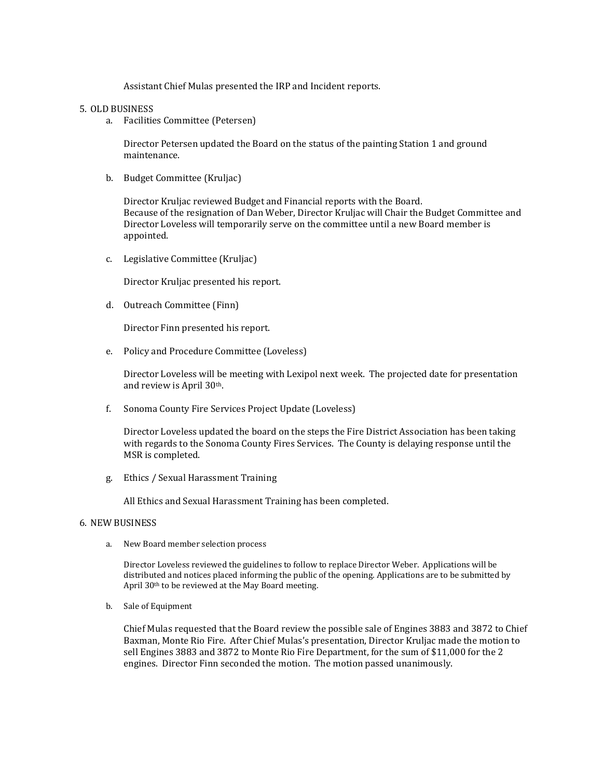Assistant Chief Mulas presented the IRP and Incident reports.

#### 5. OLD BUSINESS

a. Facilities Committee (Petersen)

Director Petersen updated the Board on the status of the painting Station 1 and ground maintenance.

b. Budget Committee (Kruljac)

Director Kruljac reviewed Budget and Financial reports with the Board. Because of the resignation of Dan Weber, Director Kruljac will Chair the Budget Committee and Director Loveless will temporarily serve on the committee until a new Board member is appointed.

c. Legislative Committee (Kruljac)

Director Kruljac presented his report.

d. Outreach Committee (Finn)

Director Finn presented his report.

e. Policy and Procedure Committee (Loveless)

Director Loveless will be meeting with Lexipol next week. The projected date for presentation and review is April 30th.

f. Sonoma County Fire Services Project Update (Loveless)

Director Loveless updated the board on the steps the Fire District Association has been taking with regards to the Sonoma County Fires Services. The County is delaying response until the MSR is completed.

g. Ethics / Sexual Harassment Training

All Ethics and Sexual Harassment Training has been completed.

#### 6. NEW BUSINESS

a. New Board member selection process

Director Loveless reviewed the guidelines to follow to replace Director Weber. Applications will be distributed and notices placed informing the public of the opening. Applications are to be submitted by April 30th to be reviewed at the May Board meeting.

b. Sale of Equipment

Chief Mulas requested that the Board review the possible sale of Engines 3883 and 3872 to Chief Baxman, Monte Rio Fire. After Chief Mulas's presentation, Director Kruljac made the motion to sell Engines 3883 and 3872 to Monte Rio Fire Department, for the sum of \$11,000 for the 2 engines. Director Finn seconded the motion. The motion passed unanimously.